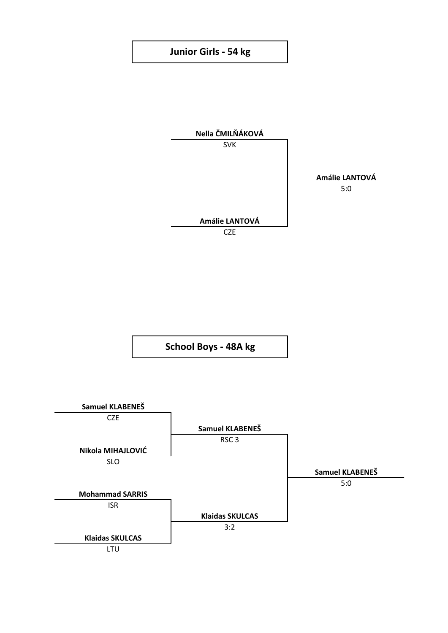## **Junior Girls - 54 kg**



**School Boys - 48A kg**

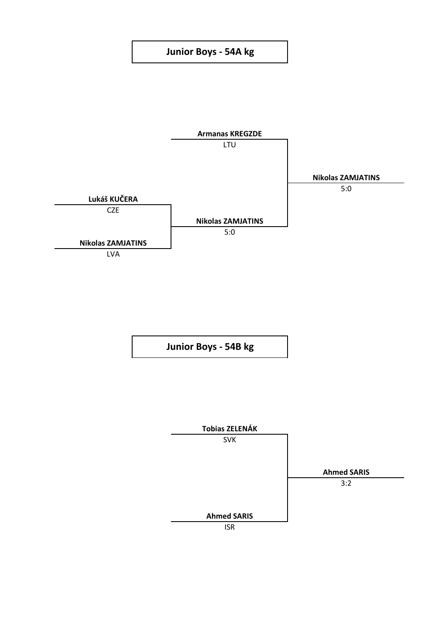## **Junior Boys - 54A kg**



**Junior Boys - 54B kg**

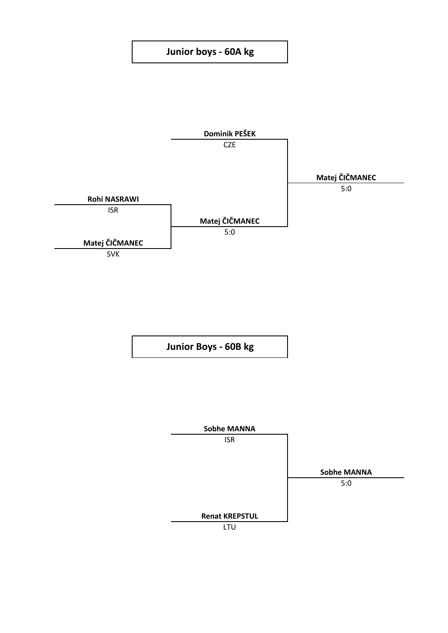## **Junior boys - 60A kg**



**Junior Boys - 60B kg**

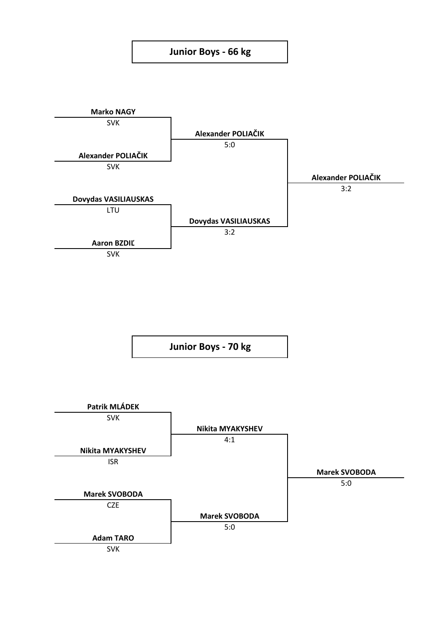